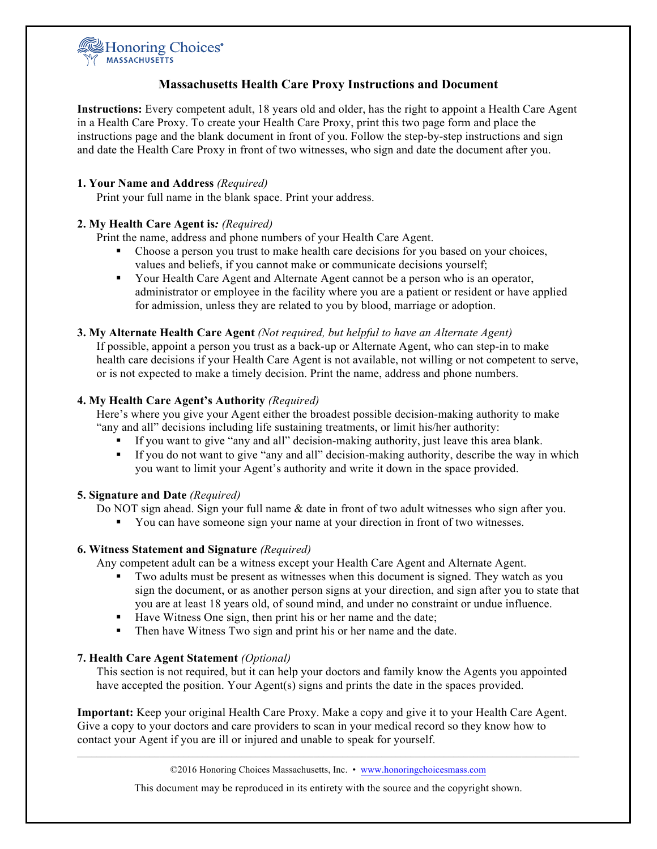

# **Massachusetts Health Care Proxy Instructions and Document**

**Instructions:** Every competent adult, 18 years old and older, has the right to appoint a Health Care Agent in a Health Care Proxy. To create your Health Care Proxy, print this two page form and place the instructions page and the blank document in front of you. Follow the step-by-step instructions and sign and date the Health Care Proxy in front of two witnesses, who sign and date the document after you.

## **1. Your Name and Address** *(Required)*

Print your full name in the blank space. Print your address.

## **2. My Health Care Agent is***: (Required)*

Print the name, address and phone numbers of your Health Care Agent.

- ! Choose a person you trust to make health care decisions for you based on your choices, values and beliefs, if you cannot make or communicate decisions yourself;
- ! Your Health Care Agent and Alternate Agent cannot be a person who is an operator, administrator or employee in the facility where you are a patient or resident or have applied for admission, unless they are related to you by blood, marriage or adoption.
- **3. My Alternate Health Care Agent** *(Not required, but helpful to have an Alternate Agent)*

If possible, appoint a person you trust as a back-up or Alternate Agent, who can step-in to make health care decisions if your Health Care Agent is not available, not willing or not competent to serve, or is not expected to make a timely decision. Print the name, address and phone numbers.

## **4. My Health Care Agent's Authority** *(Required)*

Here's where you give your Agent either the broadest possible decision-making authority to make "any and all" decisions including life sustaining treatments, or limit his/her authority:

- ! If you want to give "any and all" decision-making authority, just leave this area blank.
- ! If you do not want to give "any and all" decision-making authority, describe the way in which you want to limit your Agent's authority and write it down in the space provided.

#### **5. Signature and Date** *(Required)*

- Do NOT sign ahead. Sign your full name & date in front of two adult witnesses who sign after you.
	- ! You can have someone sign your name at your direction in front of two witnesses.

#### **6. Witness Statement and Signature** *(Required)*

Any competent adult can be a witness except your Health Care Agent and Alternate Agent.

- ! Two adults must be present as witnesses when this document is signed. They watch as you sign the document, or as another person signs at your direction, and sign after you to state that you are at least 18 years old, of sound mind, and under no constraint or undue influence.
- ! Have Witness One sign, then print his or her name and the date;
- ! Then have Witness Two sign and print his or her name and the date.

# **7. Health Care Agent Statement** *(Optional)*

This section is not required, but it can help your doctors and family know the Agents you appointed have accepted the position. Your Agent(s) signs and prints the date in the spaces provided.

**Important:** Keep your original Health Care Proxy. Make a copy and give it to your Health Care Agent. Give a copy to your doctors and care providers to scan in your medical record so they know how to contact your Agent if you are ill or injured and unable to speak for yourself.

©2016 Honoring Choices Massachusetts, Inc. • www.honoringchoicesmass.com

This document may be reproduced in its entirety with the source and the copyright shown.